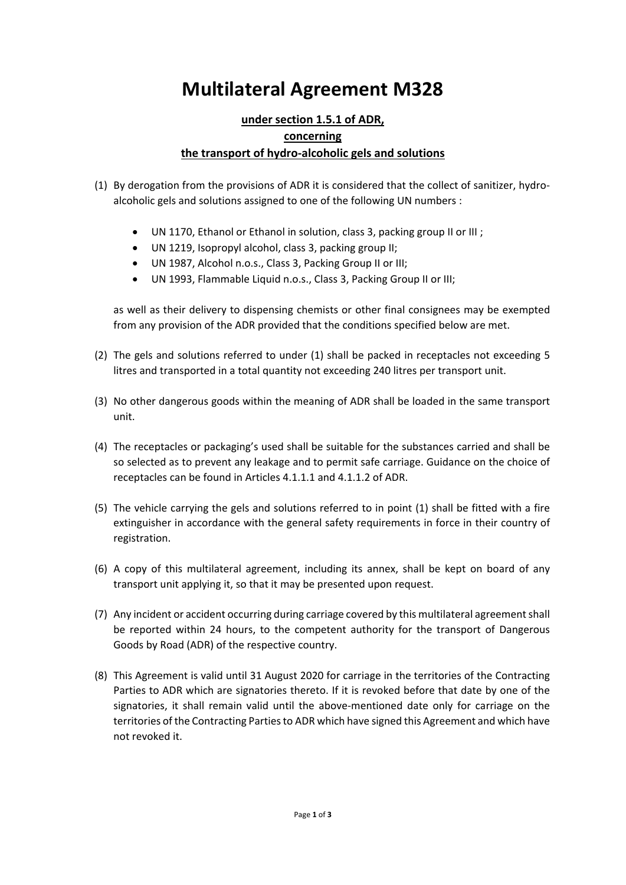# **Multilateral Agreement M328**

### **under section 1.5.1 of ADR, concerning the transport of hydro‐alcoholic gels and solutions**

- (1) By derogation from the provisions of ADR it is considered that the collect of sanitizer, hydro‐ alcoholic gels and solutions assigned to one of the following UN numbers :
	- UN 1170, Ethanol or Ethanol in solution, class 3, packing group II or III ;
	- UN 1219, Isopropyl alcohol, class 3, packing group II;
	- UN 1987, Alcohol n.o.s., Class 3, Packing Group II or III;
	- UN 1993, Flammable Liquid n.o.s., Class 3, Packing Group II or III;

as well as their delivery to dispensing chemists or other final consignees may be exempted from any provision of the ADR provided that the conditions specified below are met.

- (2) The gels and solutions referred to under (1) shall be packed in receptacles not exceeding 5 litres and transported in a total quantity not exceeding 240 litres per transport unit.
- (3) No other dangerous goods within the meaning of ADR shall be loaded in the same transport unit.
- (4) The receptacles or packaging's used shall be suitable for the substances carried and shall be so selected as to prevent any leakage and to permit safe carriage. Guidance on the choice of receptacles can be found in Articles 4.1.1.1 and 4.1.1.2 of ADR.
- (5) The vehicle carrying the gels and solutions referred to in point (1) shall be fitted with a fire extinguisher in accordance with the general safety requirements in force in their country of registration.
- (6) A copy of this multilateral agreement, including its annex, shall be kept on board of any transport unit applying it, so that it may be presented upon request.
- (7) Any incident or accident occurring during carriage covered by this multilateral agreementshall be reported within 24 hours, to the competent authority for the transport of Dangerous Goods by Road (ADR) of the respective country.
- (8) This Agreement is valid until 31 August 2020 for carriage in the territories of the Contracting Parties to ADR which are signatories thereto. If it is revoked before that date by one of the signatories, it shall remain valid until the above-mentioned date only for carriage on the territories of the Contracting Parties to ADR which have signed this Agreement and which have not revoked it.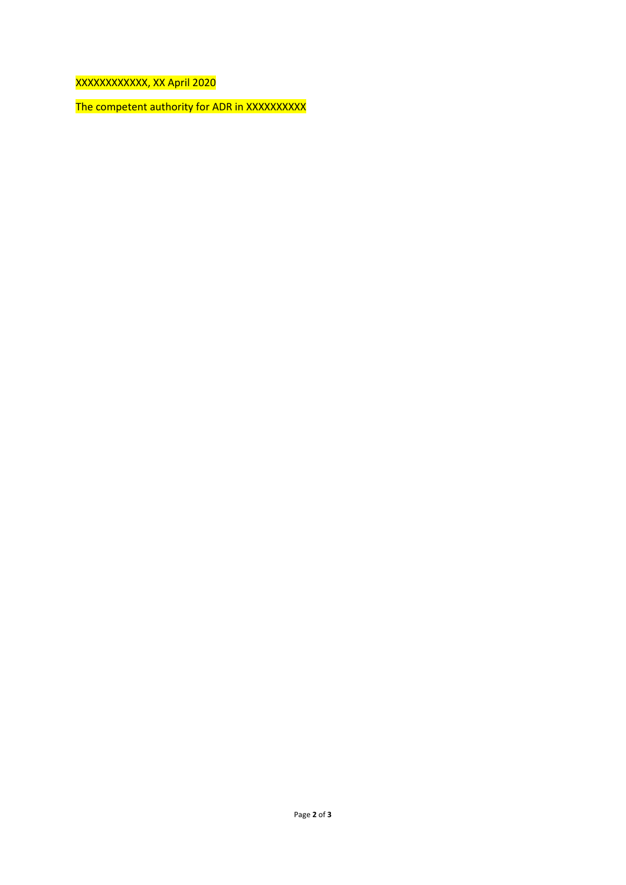XXXXXXXXXXXX, XX April 2020

The competent authority for ADR in XXXXXXXXXX